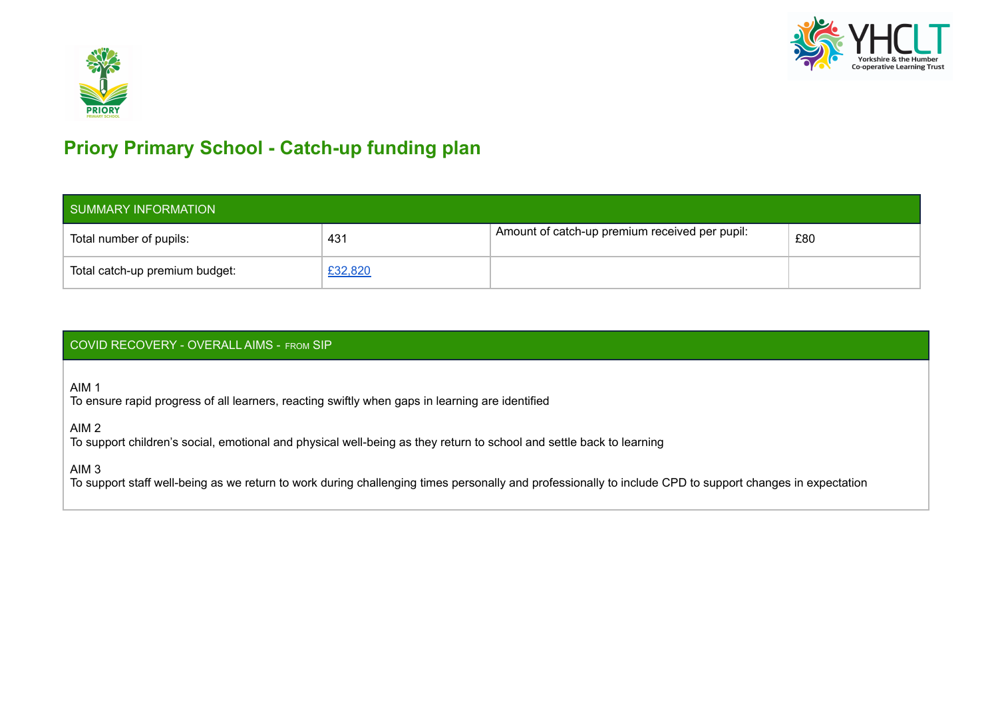



### **Priory Primary School - Catch-up funding plan**

| SUMMARY INFORMATION            |         |                                                |     |  |  |  |
|--------------------------------|---------|------------------------------------------------|-----|--|--|--|
| Total number of pupils:        | 431     | Amount of catch-up premium received per pupil: | £80 |  |  |  |
| Total catch-up premium budget: | £32,820 |                                                |     |  |  |  |

#### COVID RECOVERY - OVERALL AIMS - FROM SIP

AIM 1

To ensure rapid progress of all learners, reacting swiftly when gaps in learning are identified

AIM 2

To support children's social, emotional and physical well-being as they return to school and settle back to learning

AIM 3

To support staff well-being as we return to work during challenging times personally and professionally to include CPD to support changes in expectation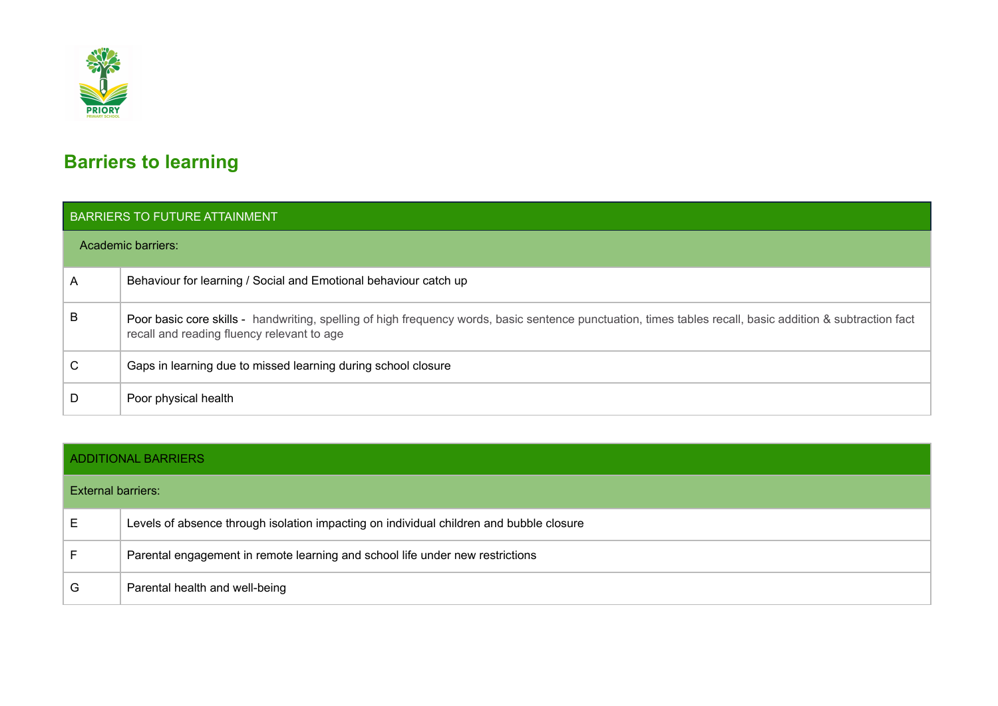

## **Barriers to learning**

|   | BARRIERS TO FUTURE ATTAINMENT                                                                                                                                                                            |  |  |  |  |  |  |
|---|----------------------------------------------------------------------------------------------------------------------------------------------------------------------------------------------------------|--|--|--|--|--|--|
|   | Academic barriers:                                                                                                                                                                                       |  |  |  |  |  |  |
| A | Behaviour for learning / Social and Emotional behaviour catch up                                                                                                                                         |  |  |  |  |  |  |
| B | Poor basic core skills - handwriting, spelling of high frequency words, basic sentence punctuation, times tables recall, basic addition & subtraction fact<br>recall and reading fluency relevant to age |  |  |  |  |  |  |
| С | Gaps in learning due to missed learning during school closure                                                                                                                                            |  |  |  |  |  |  |
|   | Poor physical health                                                                                                                                                                                     |  |  |  |  |  |  |

|                    | <b>ADDITIONAL BARRIERS</b>                                                              |  |  |  |  |
|--------------------|-----------------------------------------------------------------------------------------|--|--|--|--|
| External barriers: |                                                                                         |  |  |  |  |
| E                  | Levels of absence through isolation impacting on individual children and bubble closure |  |  |  |  |
| E                  | Parental engagement in remote learning and school life under new restrictions           |  |  |  |  |
| G                  | Parental health and well-being                                                          |  |  |  |  |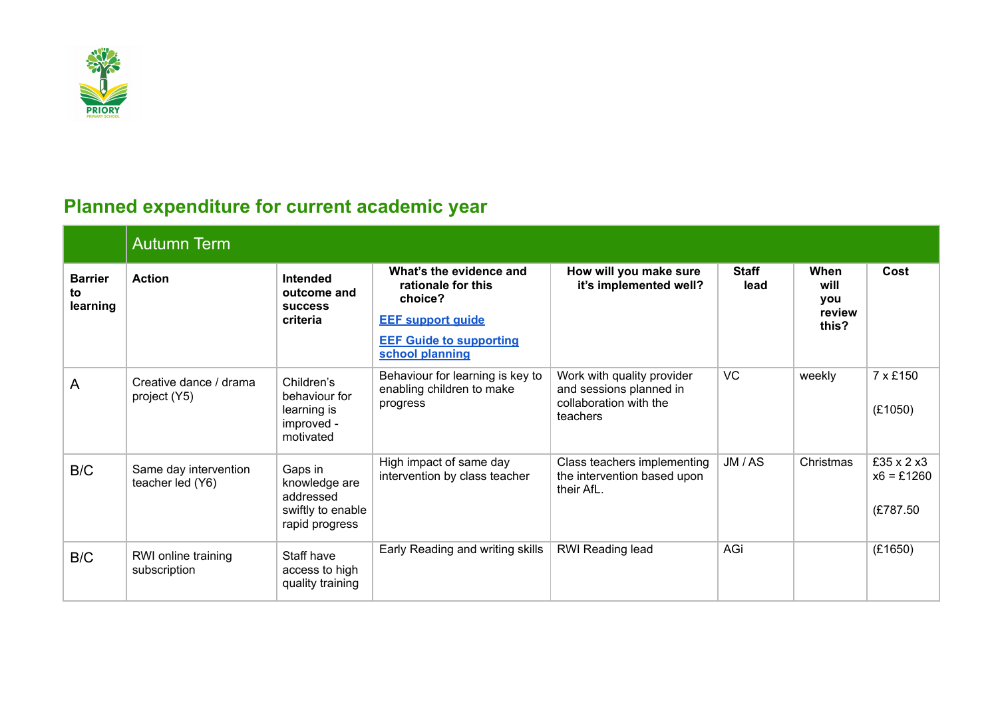

# **Planned expenditure for current academic year**

|                                  | <b>Autumn Term</b>                        |                                                                              |                                                                                                                                           |                                                                                             |                      |                                        |                                         |  |  |
|----------------------------------|-------------------------------------------|------------------------------------------------------------------------------|-------------------------------------------------------------------------------------------------------------------------------------------|---------------------------------------------------------------------------------------------|----------------------|----------------------------------------|-----------------------------------------|--|--|
| <b>Barrier</b><br>to<br>learning | <b>Action</b>                             | Intended<br>outcome and<br><b>SUCCESS</b><br>criteria                        | What's the evidence and<br>rationale for this<br>choice?<br><b>EEF support guide</b><br><b>EEF Guide to supporting</b><br>school planning | How will you make sure<br>it's implemented well?                                            | <b>Staff</b><br>lead | When<br>will<br>you<br>review<br>this? | Cost                                    |  |  |
| A                                | Creative dance / drama<br>project (Y5)    | Children's<br>behaviour for<br>learning is<br>improved -<br>motivated        | Behaviour for learning is key to<br>enabling children to make<br>progress                                                                 | Work with quality provider<br>and sessions planned in<br>collaboration with the<br>teachers | <b>VC</b>            | weekly                                 | 7 x £150<br>(E1050)                     |  |  |
| B/C                              | Same day intervention<br>teacher led (Y6) | Gaps in<br>knowledge are<br>addressed<br>swiftly to enable<br>rapid progress | High impact of same day<br>intervention by class teacher                                                                                  | Class teachers implementing<br>the intervention based upon<br>their AfL.                    | JM / AS              | Christmas                              | £35 x 2 x3<br>$x6 = £1260$<br>(£787.50) |  |  |
| B/C                              | RWI online training<br>subscription       | Staff have<br>access to high<br>quality training                             | Early Reading and writing skills                                                                                                          | RWI Reading lead                                                                            | AGi                  |                                        | (E1650)                                 |  |  |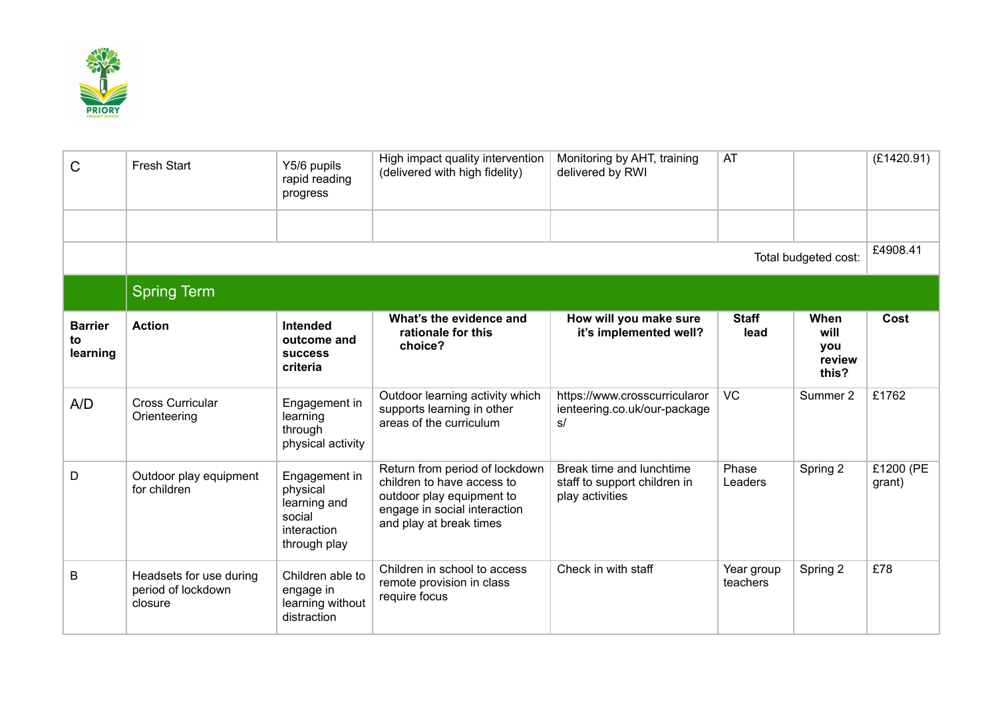

| C                                | <b>Fresh Start</b>                                       | Y5/6 pupils<br>rapid reading<br>progress                                           | High impact quality intervention<br>(delivered with high fidelity)                                                                                   | Monitoring by AHT, training<br>delivered by RWI                             | AT                     |                                        | (E1420.91)          |
|----------------------------------|----------------------------------------------------------|------------------------------------------------------------------------------------|------------------------------------------------------------------------------------------------------------------------------------------------------|-----------------------------------------------------------------------------|------------------------|----------------------------------------|---------------------|
|                                  |                                                          |                                                                                    |                                                                                                                                                      |                                                                             |                        |                                        |                     |
|                                  |                                                          |                                                                                    |                                                                                                                                                      |                                                                             |                        | Total budgeted cost:                   | £4908.41            |
|                                  | <b>Spring Term</b>                                       |                                                                                    |                                                                                                                                                      |                                                                             |                        |                                        |                     |
| <b>Barrier</b><br>to<br>learning | <b>Action</b>                                            | Intended<br>outcome and<br><b>SUCCESS</b><br>criteria                              | What's the evidence and<br>rationale for this<br>choice?                                                                                             | How will you make sure<br>it's implemented well?                            | <b>Staff</b><br>lead   | When<br>will<br>you<br>review<br>this? | Cost                |
| A/D                              | <b>Cross Curricular</b><br>Orienteering                  | Engagement in<br>learning<br>through<br>physical activity                          | Outdoor learning activity which<br>supports learning in other<br>areas of the curriculum                                                             | https://www.crosscurricularor<br>ienteering.co.uk/our-package<br>s/         | <b>VC</b>              | Summer 2                               | £1762               |
| D                                | Outdoor play equipment<br>for children                   | Engagement in<br>physical<br>learning and<br>social<br>interaction<br>through play | Return from period of lockdown<br>children to have access to<br>outdoor play equipment to<br>engage in social interaction<br>and play at break times | Break time and lunchtime<br>staff to support children in<br>play activities | Phase<br>Leaders       | Spring 2                               | £1200 (PE<br>grant) |
| B                                | Headsets for use during<br>period of lockdown<br>closure | Children able to<br>engage in<br>learning without<br>distraction                   | Children in school to access<br>remote provision in class<br>require focus                                                                           | Check in with staff                                                         | Year group<br>teachers | Spring 2                               | £78                 |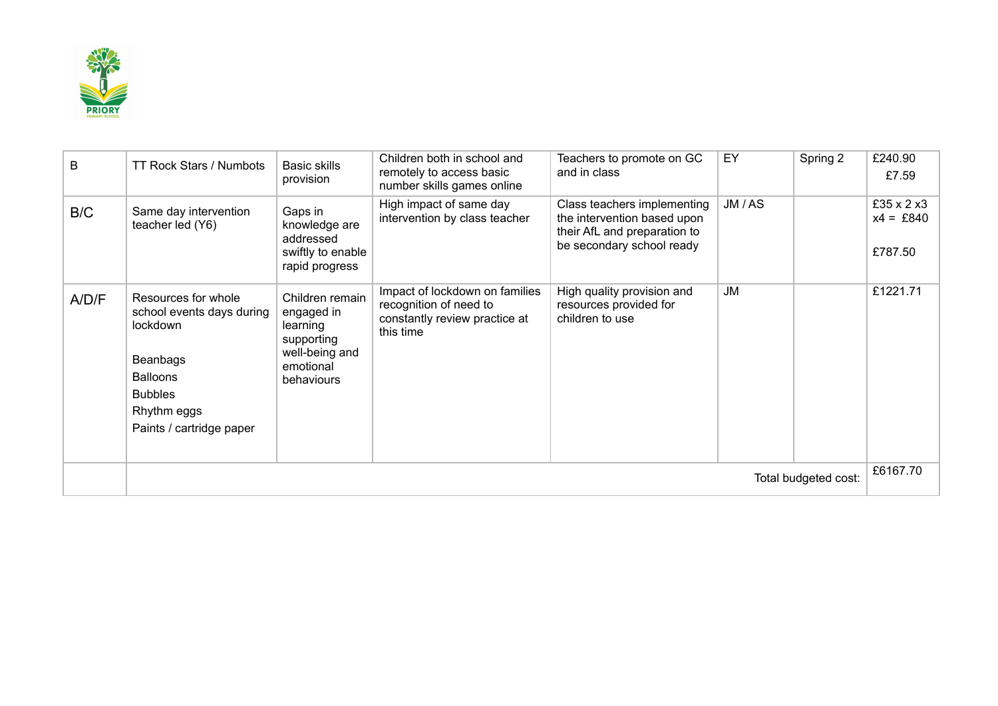

| B     | TT Rock Stars / Numbots                                                                                                                                  | <b>Basic skills</b><br>provision                                                                     | Children both in school and<br>remotely to access basic<br>number skills games online                  | Teachers to promote on GC<br>and in class                                                                               | EY        | Spring 2 | £240.90<br>£7.59                      |
|-------|----------------------------------------------------------------------------------------------------------------------------------------------------------|------------------------------------------------------------------------------------------------------|--------------------------------------------------------------------------------------------------------|-------------------------------------------------------------------------------------------------------------------------|-----------|----------|---------------------------------------|
| B/C   | Same day intervention<br>teacher led (Y6)                                                                                                                | Gaps in<br>knowledge are<br>addressed<br>swiftly to enable<br>rapid progress                         | High impact of same day<br>intervention by class teacher                                               | Class teachers implementing<br>the intervention based upon<br>their AfL and preparation to<br>be secondary school ready | JM / AS   |          | £35 x 2 x 3<br>$x4 = £840$<br>£787.50 |
| A/D/F | Resources for whole<br>school events days during<br>lockdown<br>Beanbags<br><b>Balloons</b><br><b>Bubbles</b><br>Rhythm eggs<br>Paints / cartridge paper | Children remain<br>engaged in<br>learning<br>supporting<br>well-being and<br>emotional<br>behaviours | Impact of lockdown on families<br>recognition of need to<br>constantly review practice at<br>this time | High quality provision and<br>resources provided for<br>children to use                                                 | <b>JM</b> |          | £1221.71                              |
|       | Total budgeted cost:                                                                                                                                     |                                                                                                      |                                                                                                        |                                                                                                                         |           |          |                                       |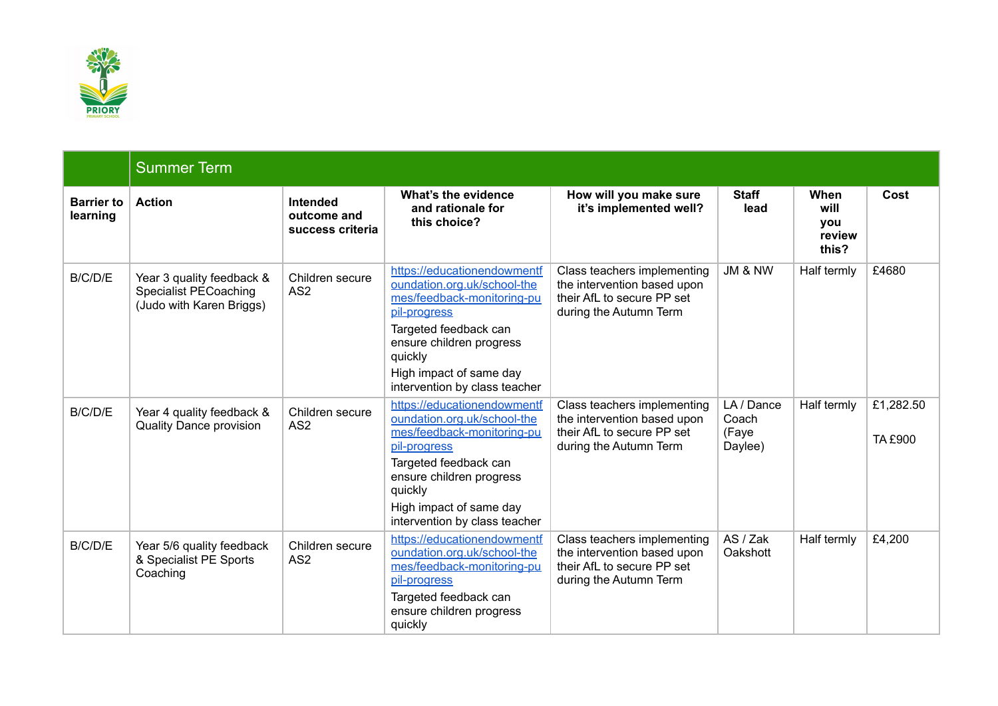

|                               | <b>Summer Term</b>                                                                    |                                             |                                                                                                                                                                                                                                      |                                                                                                                    |                                         |                                        |                      |
|-------------------------------|---------------------------------------------------------------------------------------|---------------------------------------------|--------------------------------------------------------------------------------------------------------------------------------------------------------------------------------------------------------------------------------------|--------------------------------------------------------------------------------------------------------------------|-----------------------------------------|----------------------------------------|----------------------|
| <b>Barrier to</b><br>learning | <b>Action</b>                                                                         | Intended<br>outcome and<br>success criteria | What's the evidence<br>and rationale for<br>this choice?                                                                                                                                                                             | How will you make sure<br>it's implemented well?                                                                   | <b>Staff</b><br>lead                    | When<br>will<br>you<br>review<br>this? | Cost                 |
| B/C/D/E                       | Year 3 quality feedback &<br><b>Specialist PECoaching</b><br>(Judo with Karen Briggs) | Children secure<br>AS <sub>2</sub>          | https://educationendowmentf<br>oundation.org.uk/school-the<br>mes/feedback-monitoring-pu<br>pil-progress<br>Targeted feedback can<br>ensure children progress<br>quickly<br>High impact of same day<br>intervention by class teacher | Class teachers implementing<br>the intervention based upon<br>their AfL to secure PP set<br>during the Autumn Term | JM & NW                                 | Half termly                            | £4680                |
| B/C/D/E                       | Year 4 quality feedback &<br><b>Quality Dance provision</b>                           | Children secure<br>AS <sub>2</sub>          | https://educationendowmentf<br>oundation.org.uk/school-the<br>mes/feedback-monitoring-pu<br>pil-progress<br>Targeted feedback can<br>ensure children progress<br>quickly<br>High impact of same day<br>intervention by class teacher | Class teachers implementing<br>the intervention based upon<br>their AfL to secure PP set<br>during the Autumn Term | LA / Dance<br>Coach<br>(Faye<br>Daylee) | Half termly                            | £1,282.50<br>TA £900 |
| B/C/D/E                       | Year 5/6 quality feedback<br>& Specialist PE Sports<br>Coaching                       | Children secure<br>AS <sub>2</sub>          | https://educationendowmentf<br>oundation.org.uk/school-the<br>mes/feedback-monitoring-pu<br>pil-progress<br>Targeted feedback can<br>ensure children progress<br>quickly                                                             | Class teachers implementing<br>the intervention based upon<br>their AfL to secure PP set<br>during the Autumn Term | AS / Zak<br>Oakshott                    | Half termly                            | £4,200               |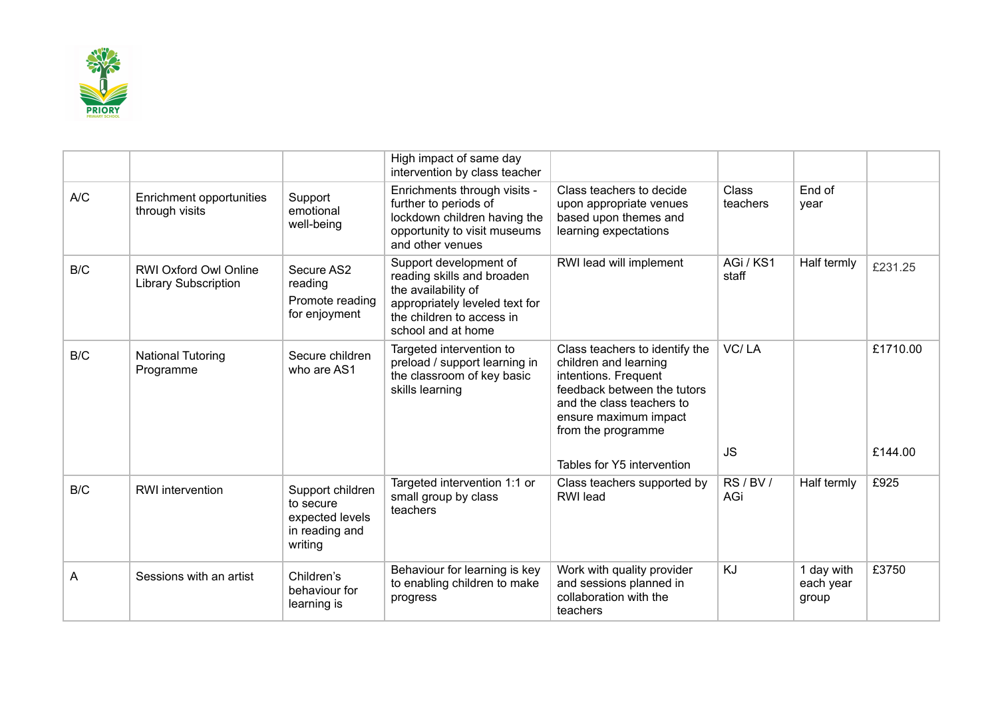

|     |                                                             |                                                                               | High impact of same day<br>intervention by class teacher                                                                                                         |                                                                                                                                                                                            |                          |                                  |          |
|-----|-------------------------------------------------------------|-------------------------------------------------------------------------------|------------------------------------------------------------------------------------------------------------------------------------------------------------------|--------------------------------------------------------------------------------------------------------------------------------------------------------------------------------------------|--------------------------|----------------------------------|----------|
| A/C | Enrichment opportunities<br>through visits                  | Support<br>emotional<br>well-being                                            | Enrichments through visits -<br>further to periods of<br>lockdown children having the<br>opportunity to visit museums<br>and other venues                        | Class teachers to decide<br>upon appropriate venues<br>based upon themes and<br>learning expectations                                                                                      | <b>Class</b><br>teachers | End of<br>year                   |          |
| B/C | <b>RWI Oxford Owl Online</b><br><b>Library Subscription</b> | Secure AS2<br>reading<br>Promote reading<br>for enjoyment                     | Support development of<br>reading skills and broaden<br>the availability of<br>appropriately leveled text for<br>the children to access in<br>school and at home | RWI lead will implement                                                                                                                                                                    | AGi / KS1<br>staff       | Half termly                      | £231.25  |
| B/C | <b>National Tutoring</b><br>Programme                       | Secure children<br>who are AS1                                                | Targeted intervention to<br>preload / support learning in<br>the classroom of key basic<br>skills learning                                                       | Class teachers to identify the<br>children and learning<br>intentions. Frequent<br>feedback between the tutors<br>and the class teachers to<br>ensure maximum impact<br>from the programme | VC/LA                    |                                  | £1710.00 |
|     |                                                             |                                                                               |                                                                                                                                                                  | Tables for Y5 intervention                                                                                                                                                                 | <b>JS</b>                |                                  | £144.00  |
| B/C | <b>RWI</b> intervention                                     | Support children<br>to secure<br>expected levels<br>in reading and<br>writing | Targeted intervention 1:1 or<br>small group by class<br>teachers                                                                                                 | Class teachers supported by<br><b>RWI</b> lead                                                                                                                                             | RS/BV/<br>AGi            | Half termly                      | £925     |
| A   | Sessions with an artist                                     | Children's<br>behaviour for<br>learning is                                    | Behaviour for learning is key<br>to enabling children to make<br>progress                                                                                        | Work with quality provider<br>and sessions planned in<br>collaboration with the<br>teachers                                                                                                | <b>KJ</b>                | 1 day with<br>each year<br>group | £3750    |